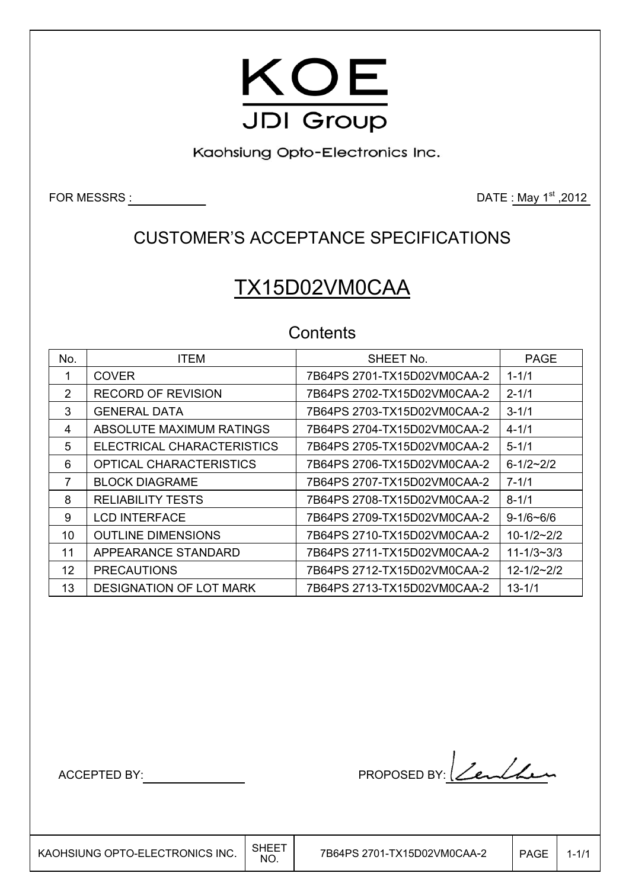

Kaohsiung Opto-Electronics Inc.

FOR MESSRS  $\underline{\hspace{1cm}}$  2012

## CUSTOMER'S ACCEPTANCE SPECIFICATIONS

# TX15D02VM0CAA

### **Contents**

| No. | <b>ITEM</b>                | SHEET No.                   | <b>PAGE</b>      |
|-----|----------------------------|-----------------------------|------------------|
|     |                            |                             |                  |
|     | <b>COVER</b>               | 7B64PS 2701-TX15D02VM0CAA-2 | $1 - 1/1$        |
| 2   | <b>RECORD OF REVISION</b>  | 7B64PS 2702-TX15D02VM0CAA-2 | $2 - 1/1$        |
| 3   | <b>GENERAL DATA</b>        | 7B64PS 2703-TX15D02VM0CAA-2 | $3 - 1/1$        |
| 4   | ABSOLUTE MAXIMUM RATINGS   | 7B64PS 2704-TX15D02VM0CAA-2 | $4 - 1/1$        |
| 5   | ELECTRICAL CHARACTERISTICS | 7B64PS 2705-TX15D02VM0CAA-2 | $5 - 1/1$        |
| 6   | OPTICAL CHARACTERISTICS    | 7B64PS 2706-TX15D02VM0CAA-2 | $6 - 1/2 - 2/2$  |
| 7   | <b>BLOCK DIAGRAME</b>      | 7B64PS 2707-TX15D02VM0CAA-2 | $7 - 1/1$        |
| 8   | <b>RELIABILITY TESTS</b>   | 7B64PS 2708-TX15D02VM0CAA-2 | $8 - 1/1$        |
| 9   | <b>LCD INTERFACE</b>       | 7B64PS 2709-TX15D02VM0CAA-2 | $9 - 1/6 - 6/6$  |
| 10  | <b>OUTLINE DIMENSIONS</b>  | 7B64PS 2710-TX15D02VM0CAA-2 | $10-1/2-2/2$     |
| 11  | APPEARANCE STANDARD        | 7B64PS 2711-TX15D02VM0CAA-2 | $11 - 1/3 - 3/3$ |
| 12  | <b>PRECAUTIONS</b>         | 7B64PS 2712-TX15D02VM0CAA-2 | $12 - 1/2 - 2/2$ |
| 13  | DESIGNATION OF LOT MARK    | 7B64PS 2713-TX15D02VM0CAA-2 | $13 - 1/1$       |

 $\overline{\phantom{a}}$ 

ACCEPTED BY: PROPOSED BY: <u>Len</u>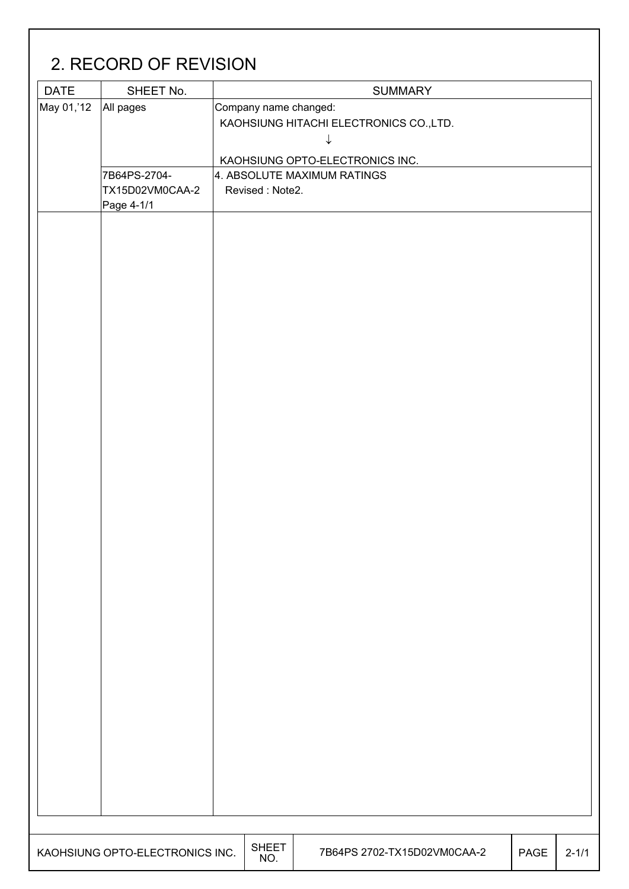| <b>DATE</b> | SHEET No.                                     |                       | <b>SUMMARY</b>                               |  |
|-------------|-----------------------------------------------|-----------------------|----------------------------------------------|--|
| May 01,'12  | All pages                                     | Company name changed: | KAOHSIUNG HITACHI ELECTRONICS CO., LTD.<br>↓ |  |
|             |                                               |                       | KAOHSIUNG OPTO-ELECTRONICS INC.              |  |
|             | 7B64PS-2704-<br>TX15D02VM0CAA-2<br>Page 4-1/1 | Revised: Note2.       | 4. ABSOLUTE MAXIMUM RATINGS                  |  |
|             |                                               |                       |                                              |  |
|             |                                               |                       |                                              |  |
|             |                                               |                       |                                              |  |
|             |                                               |                       |                                              |  |
|             |                                               |                       |                                              |  |
|             |                                               |                       |                                              |  |
|             |                                               |                       |                                              |  |
|             |                                               |                       |                                              |  |
|             |                                               |                       |                                              |  |
|             |                                               |                       |                                              |  |
|             |                                               |                       |                                              |  |
|             |                                               |                       |                                              |  |
|             |                                               |                       |                                              |  |
|             |                                               |                       |                                              |  |
|             |                                               |                       |                                              |  |
|             |                                               |                       |                                              |  |
|             |                                               |                       |                                              |  |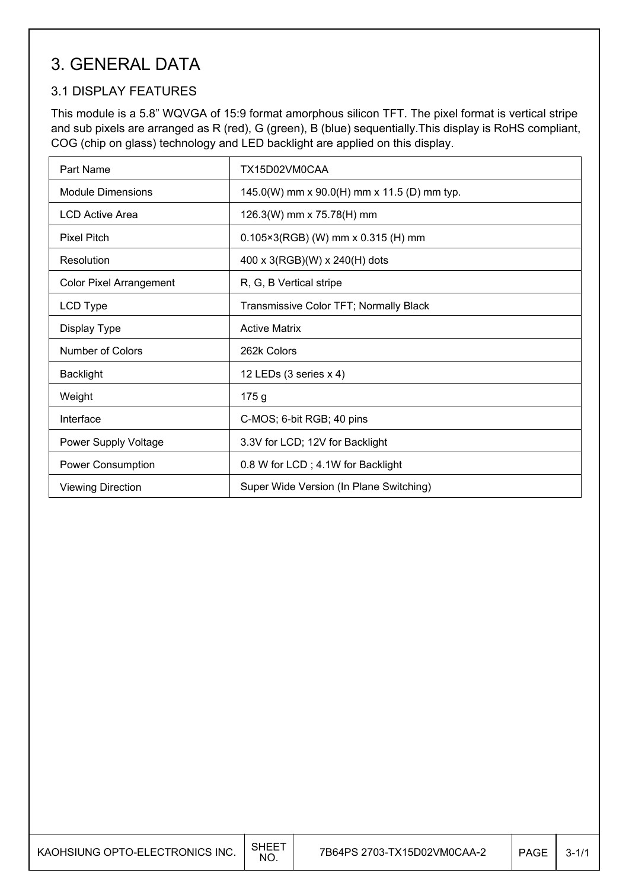### 3. GENERAL DATA

### 3.1 DISPLAY FEATURES

This module is a 5.8" WQVGA of 15:9 format amorphous silicon TFT. The pixel format is vertical stripe and sub pixels are arranged as R (red), G (green), B (blue) sequentially.This display is RoHS compliant, COG (chip on glass) technology and LED backlight are applied on this display.

| Part Name                      | TX15D02VM0CAA                               |
|--------------------------------|---------------------------------------------|
| Module Dimensions              | 145.0(W) mm x 90.0(H) mm x 11.5 (D) mm typ. |
| <b>LCD Active Area</b>         | 126.3(W) mm x 75.78(H) mm                   |
| <b>Pixel Pitch</b>             | $0.105 \times 3(RGB)$ (W) mm x 0.315 (H) mm |
| Resolution                     | 400 x 3(RGB)(W) x 240(H) dots               |
| <b>Color Pixel Arrangement</b> | R, G, B Vertical stripe                     |
| LCD Type                       | Transmissive Color TFT; Normally Black      |
| Display Type                   | <b>Active Matrix</b>                        |
| Number of Colors               | 262k Colors                                 |
| <b>Backlight</b>               | 12 LEDs (3 series x 4)                      |
| Weight                         | 175 g                                       |
| Interface                      | C-MOS; 6-bit RGB; 40 pins                   |
| Power Supply Voltage           | 3.3V for LCD; 12V for Backlight             |
| <b>Power Consumption</b>       | 0.8 W for LCD; 4.1W for Backlight           |
| <b>Viewing Direction</b>       | Super Wide Version (In Plane Switching)     |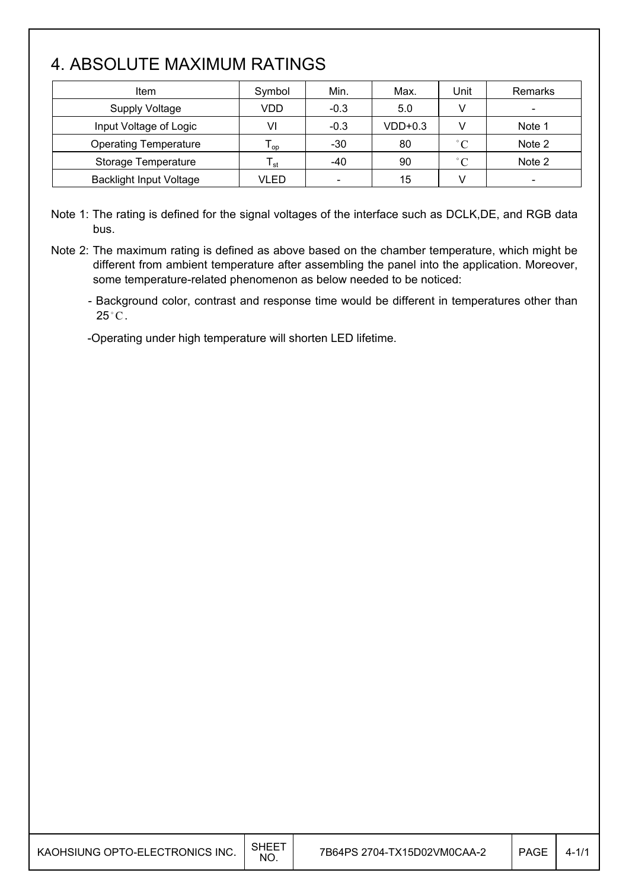## 4. ABSOLUTE MAXIMUM RATINGS

| <b>Item</b>                    | Symbol          | Min.   | Max.      | Unit         | Remarks                  |
|--------------------------------|-----------------|--------|-----------|--------------|--------------------------|
| <b>Supply Voltage</b>          | VDD             | $-0.3$ | 5.0       | v            | $\overline{\phantom{a}}$ |
| Input Voltage of Logic         | VI              | $-0.3$ | $VDD+0.3$ |              | Note 1                   |
| <b>Operating Temperature</b>   | l <sub>OD</sub> | $-30$  | 80        | $\degree$ C  | Note 2                   |
| Storage Temperature            | l <sub>st</sub> | -40    | 90        | $^{\circ}$ C | Note 2                   |
| <b>Backlight Input Voltage</b> | VLED            | $\,$   | 15        |              | $\overline{\phantom{a}}$ |

Note 1: The rating is defined for the signal voltages of the interface such as DCLK,DE, and RGB data bus.

Note 2: The maximum rating is defined as above based on the chamber temperature, which might be different from ambient temperature after assembling the panel into the application. Moreover, some temperature-related phenomenon as below needed to be noticed:

- Background color, contrast and response time would be different in temperatures other than  $25^{\circ}$ C.

-Operating under high temperature will shorten LED lifetime.

| KAOHSIUNG OPTO-ELECTRONICS INC. | <b>SHEET</b><br>NO. | 7B64PS 2704-TX15D02VM0CAA-2 | <b>PAGE</b> | $4 - 1/1$ |
|---------------------------------|---------------------|-----------------------------|-------------|-----------|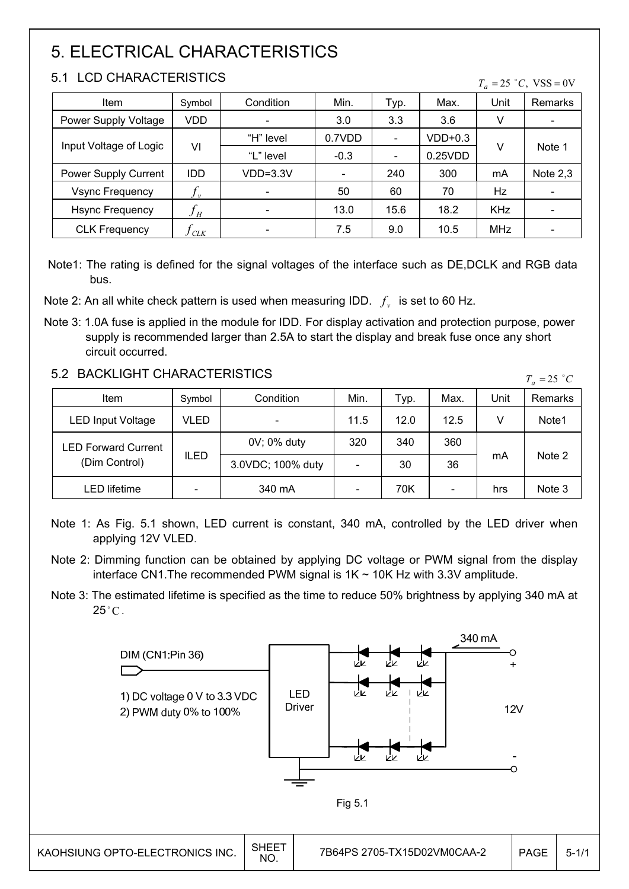## 5. ELECTRICAL CHARACTERISTICS

#### 5.1 LCD CHARACTERISTICS

|  | $T_a = 25$ °C, VSS = 0V |  |
|--|-------------------------|--|
|  |                         |  |

| Item                   | Symbol                     | Condition                    | Min.                     | Typ.                     | Max.    | Unit       | Remarks                  |
|------------------------|----------------------------|------------------------------|--------------------------|--------------------------|---------|------------|--------------------------|
| Power Supply Voltage   | VDD                        | $\qquad \qquad \blacksquare$ | 3.0                      | 3.3                      | 3.6     | V          |                          |
|                        |                            | "H" level                    | 0.7VDD                   | $\overline{\phantom{0}}$ | VDD+0.3 |            | Note 1                   |
| Input Voltage of Logic | VI                         | "L" level                    | $-0.3$                   | -                        | 0.25VDD | v          |                          |
| Power Supply Current   | <b>IDD</b>                 | VDD=3.3V                     | $\overline{\phantom{0}}$ | 240                      | 300     | mA         | Note $2,3$               |
| <b>Vsync Frequency</b> | $J_{\nu}$                  | $\overline{\phantom{a}}$     | 50                       | 60                       | 70      | Hz         | $\overline{\phantom{0}}$ |
| <b>Hsync Frequency</b> | $f_{\scriptscriptstyle H}$ |                              | 13.0                     | 15.6                     | 18.2    | <b>KHz</b> |                          |
| <b>CLK Frequency</b>   | CLK                        |                              | 7.5                      | 9.0                      | 10.5    | <b>MHz</b> |                          |

Note1: The rating is defined for the signal voltages of the interface such as DE,DCLK and RGB data bus.

Note 2: An all white check pattern is used when measuring IDD.  $f<sub>v</sub>$  is set to 60 Hz.

Note 3: 1.0A fuse is applied in the module for IDD. For display activation and protection purpose, power supply is recommended larger than 2.5A to start the display and break fuse once any short circuit occurred.

#### 5.2 BACKLIGHT CHARACTERISTICS

| <u>J.Z DAUNLIUNI UNARAUTERISTIUS</u><br>$T_a = 25$ °C |             |                   |      |      |      |      |         |  |
|-------------------------------------------------------|-------------|-------------------|------|------|------|------|---------|--|
| Item                                                  | Symbol      | Condition         | Min. | Typ. | Max. | Unit | Remarks |  |
| <b>LED Input Voltage</b>                              | VLED        |                   | 11.5 | 12.0 | 12.5 |      | Note1   |  |
| <b>LED Forward Current</b>                            | <b>ILED</b> | 0V; 0% duty       | 320  | 340  | 360  | mA   | Note 2  |  |
| (Dim Control)                                         |             | 3.0VDC; 100% duty |      | 30   | 36   |      |         |  |
| LED lifetime                                          |             | 340 mA            |      | 70K  | -    | hrs  | Note 3  |  |

Note 1: As Fig. 5.1 shown, LED current is constant, 340 mA, controlled by the LED driver when applying 12V VLED.

- Note 2: Dimming function can be obtained by applying DC voltage or PWM signal from the display interface CN1.The recommended PWM signal is 1K ~ 10K Hz with 3.3V amplitude.
- Note 3: The estimated lifetime is specified as the time to reduce 50% brightness by applying 340 mA at  $25^{\circ}$ C.

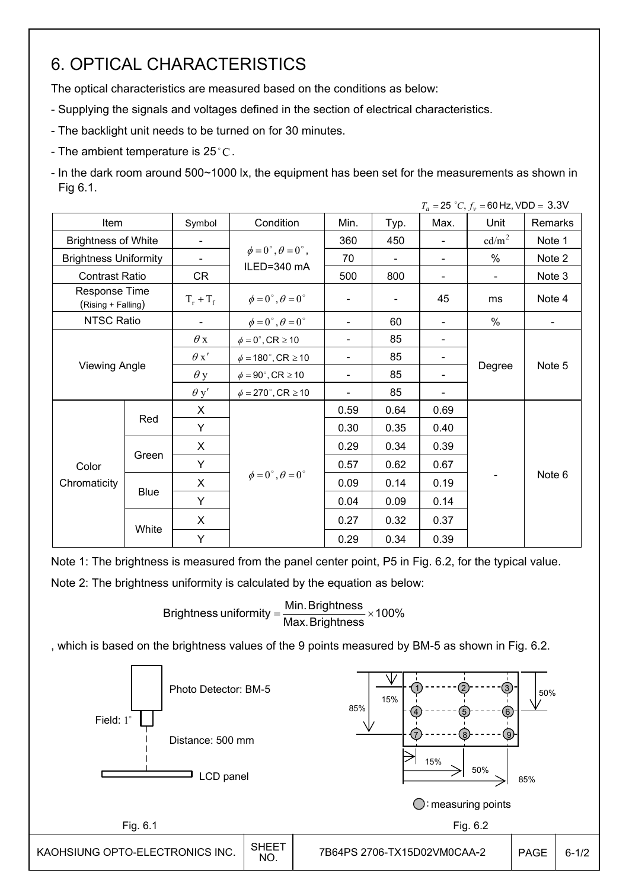## 6. OPTICAL CHARACTERISTICS

The optical characteristics are measured based on the conditions as below:

- Supplying the signals and voltages defined in the section of electrical characteristics.
- The backlight unit needs to be turned on for 30 minutes.
- The ambient temperature is  $25^{\circ}$ C.

- In the dark room around 500~1000 lx, the equipment has been set for the measurements as shown in Fig 6.1.

|                                     |                      |                          |                                         |                          |                          |                          | $T_a = 25 °C, f_v = 60 Hz, VDD = 3.3 V$ |                |  |
|-------------------------------------|----------------------|--------------------------|-----------------------------------------|--------------------------|--------------------------|--------------------------|-----------------------------------------|----------------|--|
| Item                                |                      | Symbol                   | Condition                               | Min.                     | Typ.                     | Max.                     | Unit                                    | Remarks        |  |
| <b>Brightness of White</b>          |                      | $\overline{\phantom{a}}$ |                                         | 360                      | 450                      |                          | cd/m <sup>2</sup>                       | Note 1         |  |
| <b>Brightness Uniformity</b>        |                      | $\blacksquare$           | $\phi = 0^{\circ}, \theta = 0^{\circ},$ | 70                       | $\overline{\phantom{0}}$ |                          | %                                       | Note 2         |  |
| <b>Contrast Ratio</b>               |                      | CR                       | ILED=340 mA                             | 500                      | 800                      | $\overline{\phantom{a}}$ | $\blacksquare$                          | Note 3         |  |
| Response Time<br>(Rising + Falling) |                      | $T_r + T_f$              | $\phi = 0^{\circ}, \theta = 0^{\circ}$  |                          |                          | 45                       | ms                                      | Note 4         |  |
| NTSC Ratio                          |                      | $\blacksquare$           | $\phi = 0^{\circ}, \theta = 0^{\circ}$  | $\blacksquare$           | 60                       |                          | %                                       | $\blacksquare$ |  |
|                                     | <b>Viewing Angle</b> |                          | $\phi = 0^\circ$ , CR $\geq 10$         | $\blacksquare$           | 85                       | $\overline{\phantom{a}}$ |                                         |                |  |
|                                     |                      |                          | $\phi = 180^{\circ}$ , CR $\geq 10$     | $\overline{\phantom{a}}$ | 85                       |                          |                                         | Note 5         |  |
|                                     |                      |                          | $\phi = 90^{\circ}$ , CR $\geq 10$      | $\overline{\phantom{a}}$ | 85                       |                          | Degree                                  |                |  |
|                                     |                      | $\theta$ y'              | $\phi = 270^\circ$ , CR $\geq 10$       |                          | 85                       |                          |                                         |                |  |
|                                     |                      | X                        |                                         | 0.59                     | 0.64                     | 0.69                     |                                         |                |  |
|                                     | Red                  | Y                        |                                         | 0.30                     | 0.35                     | 0.40                     |                                         |                |  |
|                                     |                      | X                        |                                         | 0.29                     | 0.34                     | 0.39                     |                                         |                |  |
| Color                               | Green                | Y                        |                                         | 0.57                     | 0.62                     | 0.67                     |                                         |                |  |
| Chromaticity                        |                      | X                        | $\phi = 0^{\circ}, \theta = 0^{\circ}$  | 0.09                     | 0.14                     | 0.19                     |                                         | Note 6         |  |
|                                     | <b>Blue</b>          | Y                        |                                         | 0.04                     | 0.09                     | 0.14                     |                                         |                |  |
|                                     |                      | X                        |                                         | 0.27                     | 0.32                     | 0.37                     |                                         |                |  |
|                                     | White                | Υ                        |                                         | 0.29                     | 0.34                     | 0.39                     |                                         |                |  |

Note 1: The brightness is measured from the panel center point, P5 in Fig. 6.2, for the typical value.

Note 2: The brightness uniformity is calculated by the equation as below:

Brightness uniformity  $=\frac{1}{100}$  and  $\frac{1}{100}$  x 100% Max.Brightness Brightness uniformity =  $\frac{\text{Min.~Brightness}}{\text{max.~S}}$ 

, which is based on the brightness values of the 9 points measured by BM-5 as shown in Fig. 6.2.

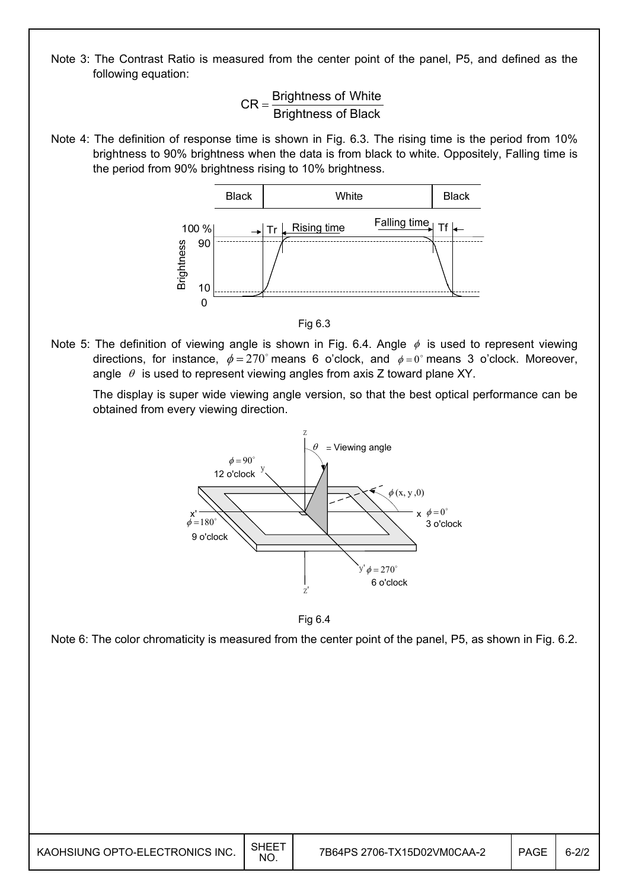Note 3: The Contrast Ratio is measured from the center point of the panel, P5, and defined as the following equation:



Note 4: The definition of response time is shown in Fig. 6.3. The rising time is the period from 10% brightness to 90% brightness when the data is from black to white. Oppositely, Falling time is the period from 90% brightness rising to 10% brightness.





Note 5: The definition of viewing angle is shown in Fig. 6.4. Angle  $\phi$  is used to represent viewing directions, for instance,  $\phi = 270^\circ$  means 6 o'clock, and  $\phi = 0^\circ$  means 3 o'clock. Moreover, angle  $\theta$  is used to represent viewing angles from axis Z toward plane XY.

 The display is super wide viewing angle version, so that the best optical performance can be obtained from every viewing direction.



Fig 6.4

Note 6: The color chromaticity is measured from the center point of the panel, P5, as shown in Fig. 6.2.

| KAOHSIUNG OPTO-ELECTRONICS INC. | <b>SHEET</b><br><b>NO</b> | 7B64PS 2706-TX15D02VM0CAA-2 | PAGE | $6 - 2/2$ |
|---------------------------------|---------------------------|-----------------------------|------|-----------|
|---------------------------------|---------------------------|-----------------------------|------|-----------|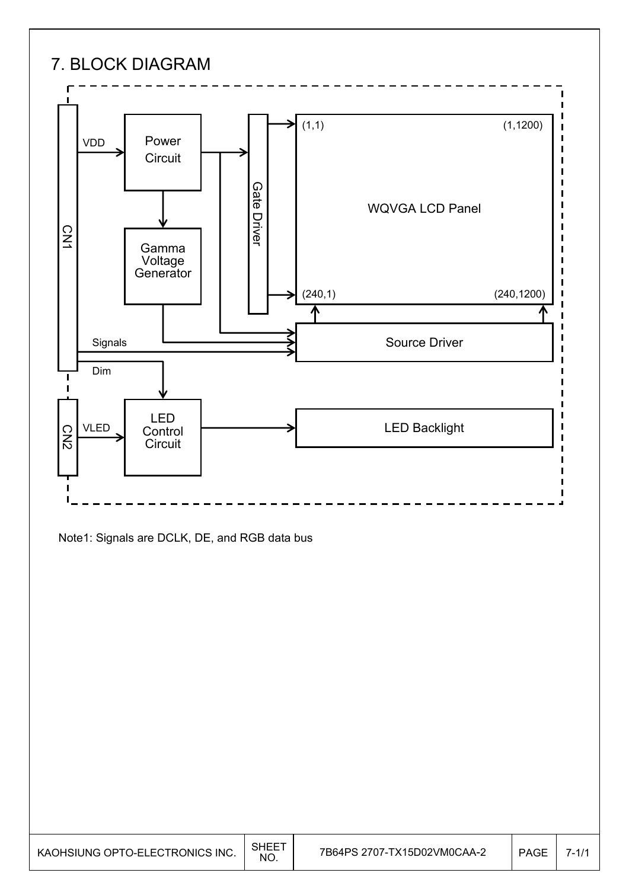

Note1: Signals are DCLK, DE, and RGB data bus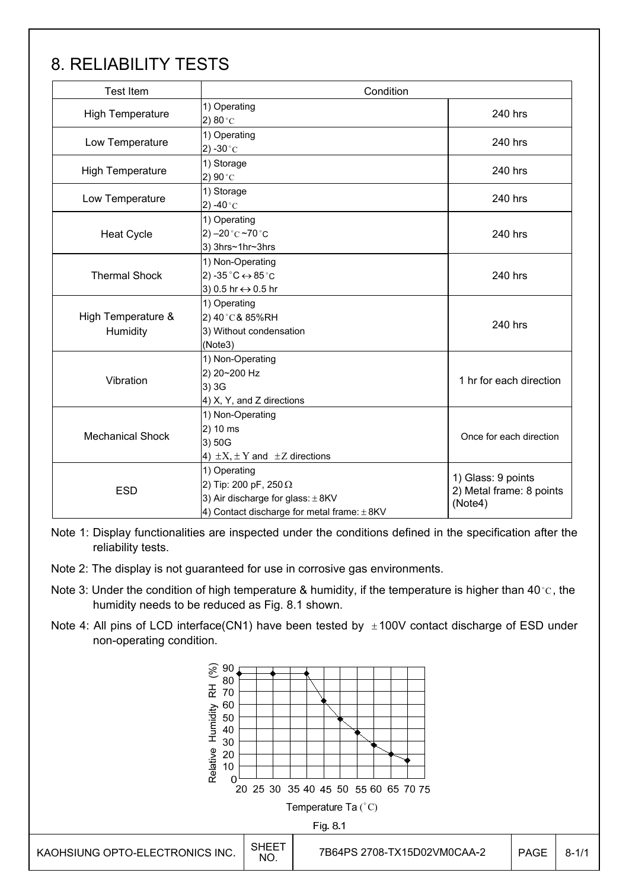## 8. RELIABILITY TESTS

| <b>Test Item</b>               | Condition                                                                                                                    |                                                           |  |  |  |
|--------------------------------|------------------------------------------------------------------------------------------------------------------------------|-----------------------------------------------------------|--|--|--|
| <b>High Temperature</b>        | 1) Operating<br>2) 80 $^{\circ}$ C                                                                                           | 240 hrs                                                   |  |  |  |
| Low Temperature                | 1) Operating<br>2) -30 $^{\circ}$ C                                                                                          | 240 hrs                                                   |  |  |  |
| <b>High Temperature</b>        | 1) Storage<br>2) 90 $^{\circ}$ C                                                                                             | 240 hrs                                                   |  |  |  |
| Low Temperature                | 1) Storage<br>2) -40 $^{\circ}$ C                                                                                            | 240 hrs                                                   |  |  |  |
| <b>Heat Cycle</b>              | 1) Operating<br>2) $-20$ °C $-70$ °C<br>3) 3hrs~1hr~3hrs                                                                     | 240 hrs                                                   |  |  |  |
| <b>Thermal Shock</b>           | 1) Non-Operating<br>2) -35 $^{\circ}$ C $\leftrightarrow$ 85 $^{\circ}$ C<br>3) 0.5 hr ↔ 0.5 hr                              | 240 hrs                                                   |  |  |  |
| High Temperature &<br>Humidity | 1) Operating<br>2) 40°C& 85%RH<br>3) Without condensation<br>(Note3)                                                         | 240 hrs                                                   |  |  |  |
| Vibration                      | 1) Non-Operating<br>2) 20~200 Hz<br>3) 3G<br>4) X, Y, and Z directions                                                       | 1 hr for each direction                                   |  |  |  |
| <b>Mechanical Shock</b>        | 1) Non-Operating<br>2) 10 ms<br>3) 50G<br>4) $\pm X$ , $\pm Y$ and $\pm Z$ directions                                        | Once for each direction                                   |  |  |  |
| <b>ESD</b>                     | 1) Operating<br>2) Tip: 200 pF, 250 Ω<br>3) Air discharge for glass: $\pm$ 8KV<br>4) Contact discharge for metal frame: ±8KV | 1) Glass: 9 points<br>2) Metal frame: 8 points<br>(Note4) |  |  |  |

Note 1: Display functionalities are inspected under the conditions defined in the specification after the reliability tests.

- Note 2: The display is not guaranteed for use in corrosive gas environments.
- Note 3: Under the condition of high temperature & humidity, if the temperature is higher than 40 °C, the humidity needs to be reduced as Fig. 8.1 shown.
- Note 4: All pins of LCD interface(CN1) have been tested by  $\pm 100V$  contact discharge of ESD under non-operating condition.

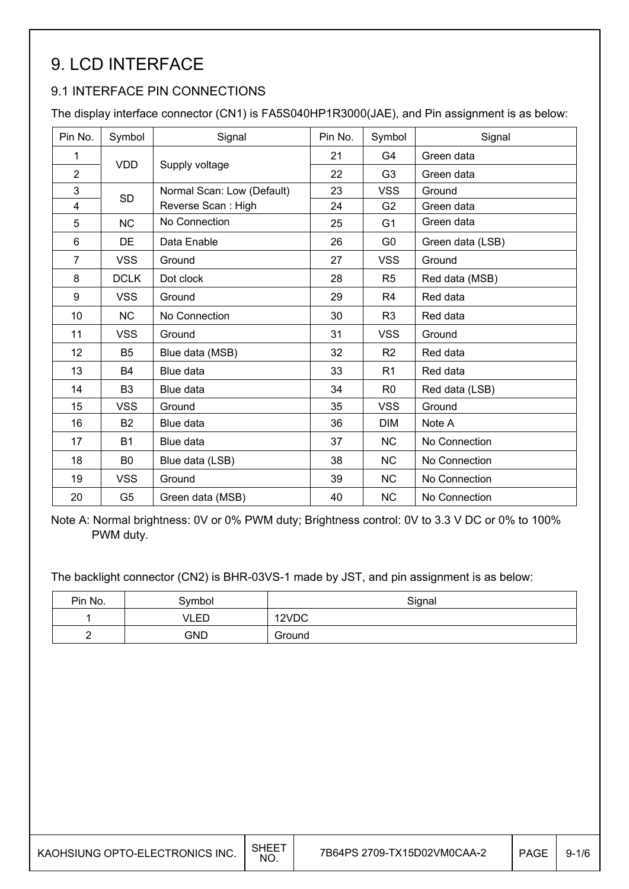## 9. LCD INTERFACE

### 9.1 INTERFACE PIN CONNECTIONS

The display interface connector (CN1) is FA5S040HP1R3000(JAE), and Pin assignment is as below:

| Pin No.        | Symbol         | Signal                     | Pin No. | Symbol         | Signal           |
|----------------|----------------|----------------------------|---------|----------------|------------------|
| 1              | <b>VDD</b>     |                            | 21      | G4             | Green data       |
| $\overline{2}$ |                | Supply voltage             | 22      | G <sub>3</sub> | Green data       |
| 3              | <b>SD</b>      | Normal Scan: Low (Default) | 23      | <b>VSS</b>     | Ground           |
| 4              |                | Reverse Scan: High         | 24      | G <sub>2</sub> | Green data       |
| 5              | <b>NC</b>      | No Connection              | 25      | G <sub>1</sub> | Green data       |
| 6              | DE             | Data Enable                | 26      | G <sub>0</sub> | Green data (LSB) |
| $\overline{7}$ | <b>VSS</b>     | Ground                     | 27      | <b>VSS</b>     | Ground           |
| 8              | <b>DCLK</b>    | Dot clock                  | 28      | R <sub>5</sub> | Red data (MSB)   |
| 9              | <b>VSS</b>     | Ground                     | 29      | R <sub>4</sub> | Red data         |
| 10             | <b>NC</b>      | No Connection              | 30      | R <sub>3</sub> | Red data         |
| 11             | <b>VSS</b>     | Ground                     | 31      | <b>VSS</b>     | Ground           |
| 12             | <b>B5</b>      | Blue data (MSB)            | 32      | R <sub>2</sub> | Red data         |
| 13             | <b>B4</b>      | Blue data                  | 33      | R <sub>1</sub> | Red data         |
| 14             | B <sub>3</sub> | Blue data                  | 34      | R <sub>0</sub> | Red data (LSB)   |
| 15             | <b>VSS</b>     | Ground                     | 35      | <b>VSS</b>     | Ground           |
| 16             | <b>B2</b>      | Blue data                  | 36      | <b>DIM</b>     | Note A           |
| 17             | <b>B1</b>      | Blue data                  | 37      | <b>NC</b>      | No Connection    |
| 18             | B <sub>0</sub> | Blue data (LSB)            | 38      | <b>NC</b>      | No Connection    |
| 19             | <b>VSS</b>     | Ground                     | 39      | <b>NC</b>      | No Connection    |
| 20             | G <sub>5</sub> | Green data (MSB)           | 40      | <b>NC</b>      | No Connection    |

Note A: Normal brightness: 0V or 0% PWM duty; Brightness control: 0V to 3.3 V DC or 0% to 100% PWM duty.

The backlight connector (CN2) is BHR-03VS-1 made by JST, and pin assignment is as below:

| Pin No. | Symbol | Signal |
|---------|--------|--------|
|         | VLED   | 12VDC  |
| -       | GND    | Ground |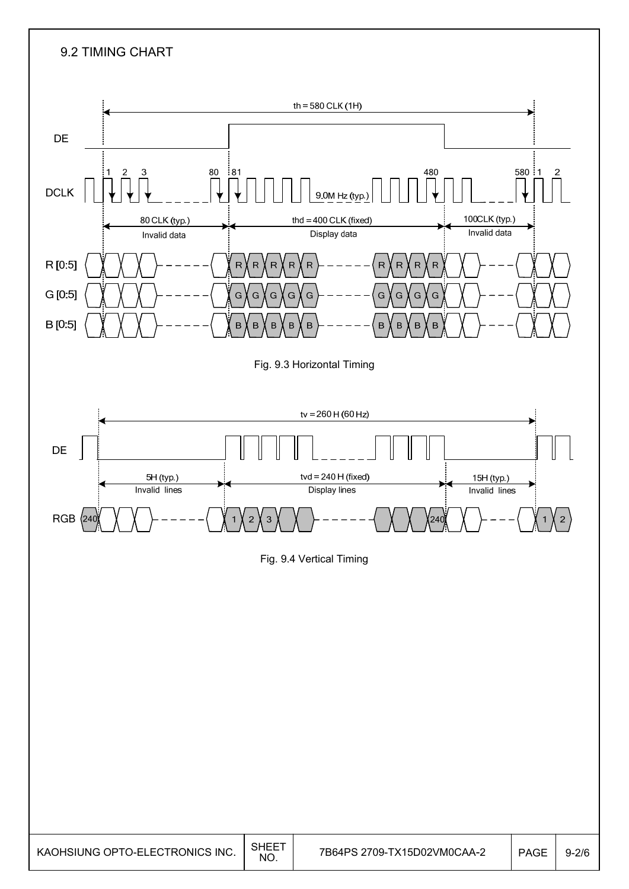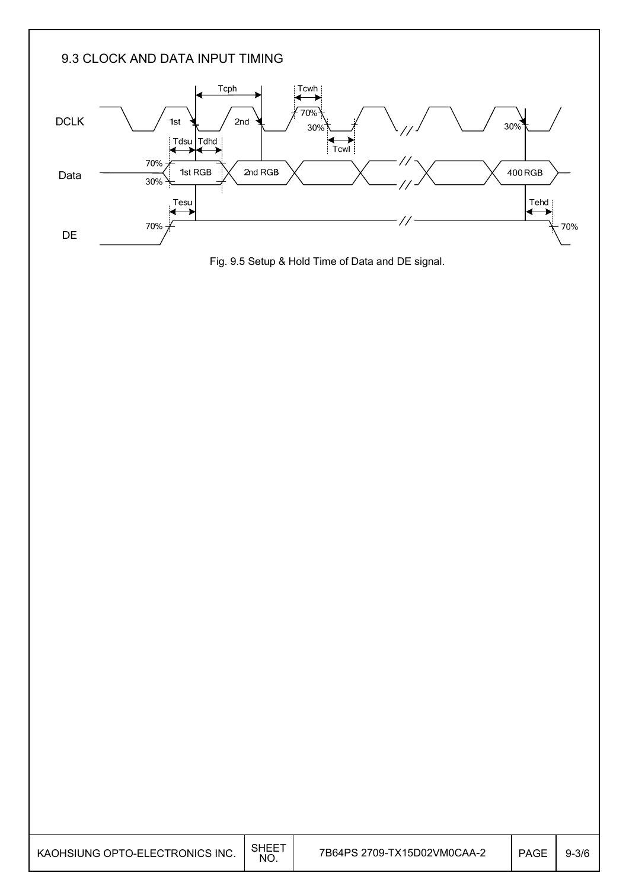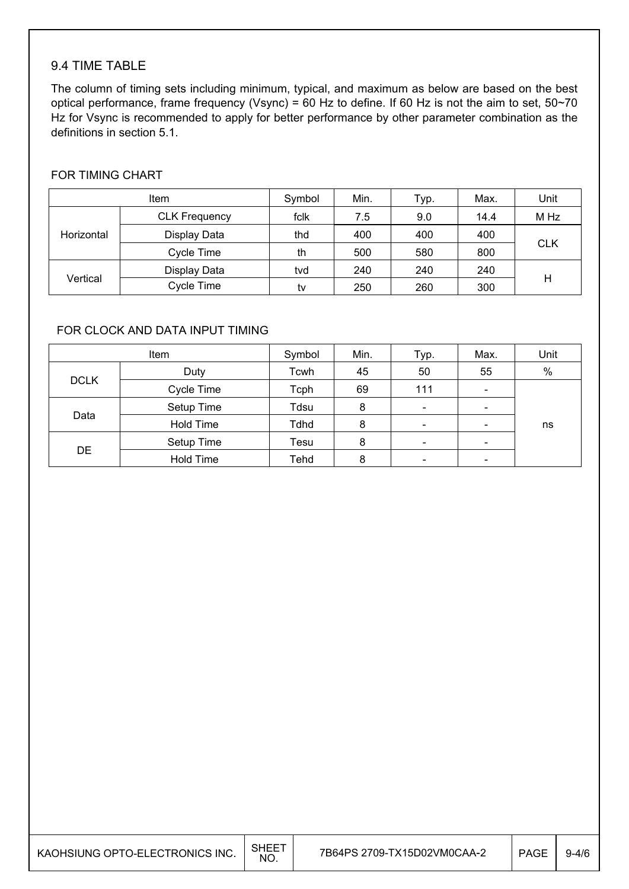#### 9.4 TIME TABLE

The column of timing sets including minimum, typical, and maximum as below are based on the best optical performance, frame frequency (Vsync) = 60 Hz to define. If 60 Hz is not the aim to set,  $50~70$ Hz for Vsync is recommended to apply for better performance by other parameter combination as the definitions in section 5.1.

#### FOR TIMING CHART

|            | <b>Item</b>          | Symbol | Min. | Typ. | Max. | Unit       |
|------------|----------------------|--------|------|------|------|------------|
|            | <b>CLK Frequency</b> | fclk   | 7.5  | 9.0  | 14.4 | M Hz       |
| Horizontal | Display Data         | thd    | 400  | 400  | 400  |            |
|            | Cycle Time           | th     | 500  | 580  | 800  | <b>CLK</b> |
|            | Display Data         | tvd    | 240  | 240  | 240  |            |
| Vertical   | Cycle Time           | tv     | 250  | 260  | 300  | Н          |

#### FOR CLOCK AND DATA INPUT TIMING

|             | Item       | Symbol | Min. | Typ.                     | Max.                         | Unit |
|-------------|------------|--------|------|--------------------------|------------------------------|------|
|             | Duty       | Tcwh   | 45   | 50                       | 55                           | $\%$ |
| <b>DCLK</b> | Cycle Time | Tcph   | 69   | 111                      | $\overline{\phantom{a}}$     |      |
|             | Setup Time | Tdsu   | 8    | $\overline{\phantom{a}}$ | $\overline{\phantom{a}}$     |      |
| Data        | Hold Time  | Tdhd   | 8    | $\overline{\phantom{a}}$ | $\qquad \qquad \blacksquare$ | ns   |
|             | Setup Time | Tesu   | 8    | $\overline{\phantom{a}}$ | $\overline{\phantom{a}}$     |      |
| <b>DE</b>   | Hold Time  | Tehd   | 8    | $\overline{\phantom{a}}$ | -                            |      |

| KAOHSIUNG OPTO-ELECTRONICS INC. | <b>SHEET</b><br>NO. | 7B64PS 2709-TX15D02VM0CAA-2 | <b>PAGE</b> | $9 - 4/6$ |
|---------------------------------|---------------------|-----------------------------|-------------|-----------|
|---------------------------------|---------------------|-----------------------------|-------------|-----------|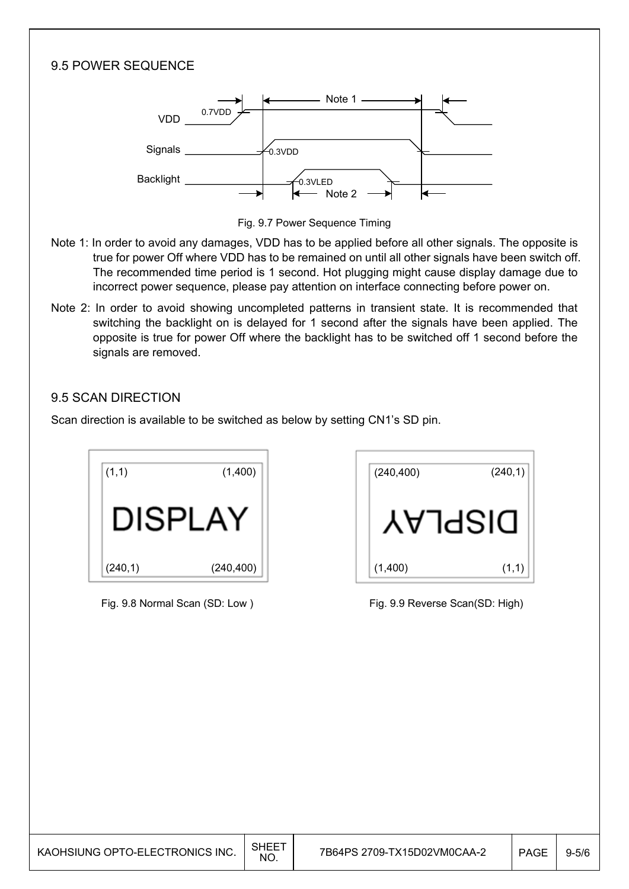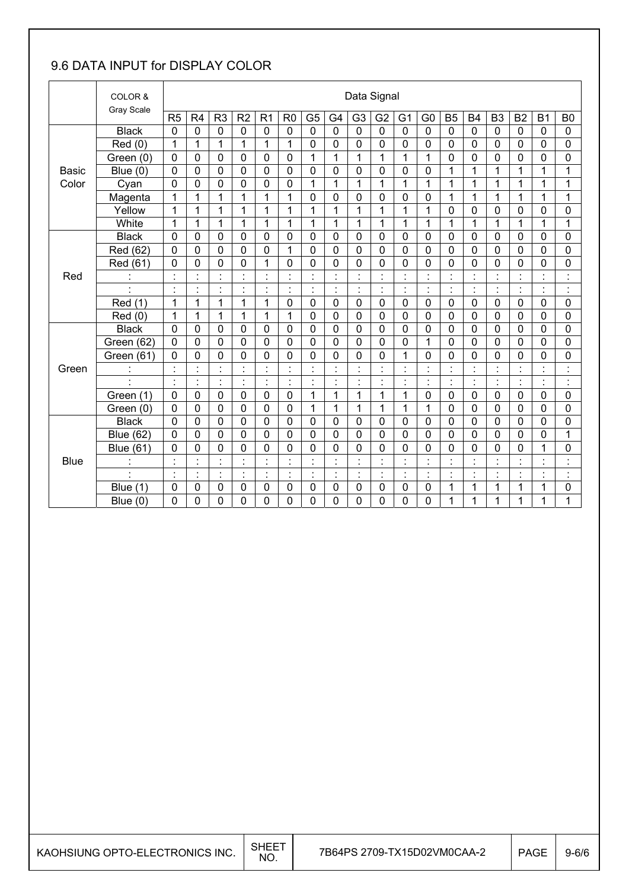### 9.6 DATA INPUT for DISPLAY COLOR

|              | COLOR &<br>Gray Scale |                |                      |                      |                |                |                      |                                  |                |                | Data Signal    |                      |                                  |                |                      |                          |                      |                          |                                 |
|--------------|-----------------------|----------------|----------------------|----------------------|----------------|----------------|----------------------|----------------------------------|----------------|----------------|----------------|----------------------|----------------------------------|----------------|----------------------|--------------------------|----------------------|--------------------------|---------------------------------|
|              |                       | R <sub>5</sub> | R4                   | R <sub>3</sub>       | R <sub>2</sub> | R <sub>1</sub> | R <sub>0</sub>       | G <sub>5</sub>                   | G <sub>4</sub> | G <sub>3</sub> | G <sub>2</sub> | G <sub>1</sub>       | G <sub>0</sub>                   | <b>B5</b>      | <b>B4</b>            | B <sub>3</sub>           | B <sub>2</sub>       | <b>B1</b>                | B <sub>0</sub>                  |
|              | <b>Black</b>          | 0              | $\mathbf 0$          | $\mathbf 0$          | 0              | 0              | 0                    | 0                                | $\mathbf 0$    | $\mathbf 0$    | 0              | 0                    | $\mathbf 0$                      | $\mathbf 0$    | $\mathbf 0$          | $\mathbf 0$              | 0                    | $\mathbf{0}$             | $\mathbf 0$                     |
|              | Red(0)                | 1              | 1                    | $\mathbf{1}$         | 1              | 1              | 1                    | 0                                | $\mathbf 0$    | 0              | $\mathbf 0$    | 0                    | 0                                | $\mathbf 0$    | 0                    | 0                        | 0                    | 0                        | 0                               |
|              | Green (0)             | $\mathbf 0$    | $\mathbf 0$          | 0                    | 0              | 0              | $\mathbf 0$          | $\mathbf{1}$                     | 1              | $\mathbf{1}$   | $\mathbf{1}$   | $\mathbf{1}$         | 1                                | $\mathbf 0$    | $\mathbf 0$          | $\mathbf 0$              | $\mathbf 0$          | 0                        | 0                               |
| <b>Basic</b> | Blue $(0)$            | $\mathbf 0$    | $\mathbf 0$          | 0                    | 0              | 0              | $\overline{0}$       | 0                                | $\overline{0}$ | $\overline{0}$ | $\mathbf 0$    | 0                    | 0                                | 1              | 1                    | 1                        | 1                    | 1                        | 1                               |
| Color        | Cyan                  | 0              | 0                    | 0                    | 0              | 0              | 0                    | 1                                | 1              | $\mathbf{1}$   | 1              | 1                    | 1                                | 1              | 1                    | 1                        | 1                    | 1                        | 1                               |
|              | Magenta               | 1              | 1                    | 1                    | 1              | 1              | 1                    | 0                                | $\mathbf 0$    | 0              | $\mathbf 0$    | 0                    | $\mathbf 0$                      | 1              | 1                    | 1                        | 1                    | $\mathbf 1$              | 1                               |
|              | Yellow                | 1              | 1                    | $\mathbf{1}$         | $\mathbf{1}$   | $\mathbf{1}$   | 1                    | 1                                | 1              | $\mathbf{1}$   | $\mathbf{1}$   | 1                    | $\mathbf 1$                      | $\mathbf 0$    | $\mathbf 0$          | $\mathbf 0$              | 0                    | 0                        | 0                               |
|              | White                 | 1              | 1                    | $\mathbf{1}$         | $\mathbf{1}$   | 1              | 1                    | $\mathbf{1}$                     | $\mathbf{1}$   | $\mathbf{1}$   | 1              | 1                    | 1                                | $\mathbf 1$    | 1                    | 1                        | 1                    | 1                        | 1                               |
|              | <b>Black</b>          | 0              | $\mathbf 0$          | 0                    | 0              | $\mathbf 0$    | 0                    | 0                                | $\mathbf 0$    | 0              | 0              | 0                    | $\mathbf 0$                      | $\mathbf 0$    | $\mathbf 0$          | 0                        | 0                    | 0                        | 0                               |
|              | Red (62)              | 0              | 0                    | 0                    | $\mathbf 0$    | 0              | 1                    | 0                                | $\mathbf 0$    | $\Omega$       | $\mathbf 0$    | 0                    | 0                                | $\overline{0}$ | $\mathbf 0$          | $\mathbf 0$              | 0                    | 0                        | 0                               |
|              | Red (61)              | 0              | 0                    | 0                    | 0              | 1              | 0                    | 0                                | $\mathbf 0$    | 0              | 0              | 0                    | 0                                | $\mathbf 0$    | 0                    | $\mathbf 0$              | 0                    | 0                        | 0                               |
| Red          | $\ddot{\cdot}$        | $\blacksquare$ | Ì.                   | $\blacksquare$       | $\blacksquare$ | $\blacksquare$ | ٠                    | $\blacksquare$<br>$\epsilon$     | $\blacksquare$ | $\blacksquare$ | $\blacksquare$ | $\cdot$              | $\blacksquare$<br>×,             | $\blacksquare$ | $\blacksquare$       | $\cdot$                  | $\blacksquare$       | $\overline{\phantom{a}}$ | $\ddot{\phantom{a}}$            |
|              | $\blacksquare$        | $\cdot$        | $\blacksquare$       | $\blacksquare$<br>×, | $\blacksquare$ | $\cdot$        | ٠                    | $\blacksquare$<br>$\epsilon$     | $\blacksquare$ | $\blacksquare$ | $\blacksquare$ | $\blacksquare$       | $\blacksquare$                   | $\cdot$        | $\blacksquare$       | $\blacksquare$           | $\blacksquare$       | $\blacksquare$           | $\blacksquare$<br>j.            |
|              | Red (1)               | 1              | 1                    | $\mathbf{1}$         | $\mathbf{1}$   | $\mathbf{1}$   | $\overline{0}$       | 0                                | $\mathbf 0$    | 0              | $\mathbf 0$    | $\mathbf 0$          | $\mathbf 0$                      | $\mathbf 0$    | $\mathbf 0$          | $\mathbf 0$              | 0                    | 0                        | 0                               |
|              | Red (0)               | 1              | 1                    | $\mathbf{1}$         | 1              | 1              | 1                    | 0                                | $\mathbf 0$    | 0              | 0              | 0                    | 0                                | $\mathbf 0$    | $\mathbf 0$          | $\mathbf 0$              | 0                    | 0                        | 0                               |
|              | <b>Black</b>          | $\mathbf 0$    | $\mathbf 0$          | 0                    | 0              | $\mathbf 0$    | 0                    | 0                                | $\mathbf 0$    | 0              | $\mathbf 0$    | $\mathbf 0$          | $\mathbf 0$                      | $\mathbf 0$    | $\mathbf 0$          | $\mathbf 0$              | $\mathbf 0$          | $\mathbf 0$              | $\mathbf 0$                     |
|              | Green (62)            | 0              | 0                    | 0                    | 0              | $\mathbf 0$    | $\mathbf 0$          | 0                                | $\mathbf 0$    | 0              | $\mathbf 0$    | 0                    | 1                                | $\mathbf 0$    | $\mathbf 0$          | 0                        | 0                    | 0                        | $\mathbf 0$                     |
|              | Green (61)            | 0              | $\overline{0}$       | 0                    | 0              | 0              | 0                    | 0                                | $\mathbf 0$    | $\overline{0}$ | 0              | 1                    | 0                                | $\mathbf 0$    | $\overline{0}$       | 0                        | 0                    | 0                        | 0                               |
| Green        |                       | $\cdot$        | $\ddot{\phantom{a}}$ | $\ddot{\phantom{a}}$ | $\blacksquare$ | $\cdot$        | $\blacksquare$       | $\ddot{\cdot}$                   |                |                | Ì              | $\blacksquare$       | $\ddot{\cdot}$                   | $\ddot{\cdot}$ |                      |                          | $\ddot{\cdot}$       |                          | Ì                               |
|              | $\ddot{\phantom{a}}$  | $\cdot$        | ŀ.                   | ċ,                   | ŀ              | ċ,             | $\vdots$             | ċ                                | $\cdot$        | ÷              | ł,             | $\ddot{\phantom{0}}$ | ł.                               | ċ              | $\ddot{\phantom{a}}$ | $\overline{\phantom{a}}$ | l.                   | ä,                       | $\ddot{\cdot}$                  |
|              | Green (1)             | 0              | 0                    | $\mathbf 0$          | 0              | 0              | $\mathbf 0$          | 1                                | 1              | 1              | 1              | 1                    | 0                                | $\mathbf 0$    | $\mathbf 0$          | $\mathbf 0$              | 0                    | 0                        | 0                               |
|              | Green (0)             | $\mathbf 0$    | 0                    | 0                    | 0              | $\mathbf 0$    | $\mathbf 0$          | 1                                | 1              | 1              | $\mathbf{1}$   | 1                    | 1                                | $\mathbf 0$    | 0                    | 0                        | 0                    | 0                        | 0                               |
|              | <b>Black</b>          | $\mathbf 0$    | 0                    | 0                    | 0              | 0              | $\mathbf 0$          | 0                                | $\mathbf 0$    | 0              | 0              | 0                    | 0                                | $\mathbf 0$    | $\mathbf 0$          | $\mathbf 0$              | 0                    | 0                        | 0                               |
|              | <b>Blue (62)</b>      | 0              | 0                    | 0                    | 0              | 0              | 0                    | 0                                | $\overline{0}$ | $\overline{0}$ | $\overline{0}$ | $\mathbf 0$          | 0                                | $\mathbf 0$    | 0                    | $\overline{0}$           | 0                    | 0                        | 1                               |
|              | <b>Blue (61)</b>      | 0              | 0                    | 0                    | 0              | 0              | 0                    | 0                                | $\mathbf 0$    | 0              | 0              | 0                    | 0                                | 0              | $\mathbf 0$          | 0                        | 0                    | 1                        | 0                               |
| <b>Blue</b>  | $\mathbf{r}$          |                | $\ddot{\phantom{0}}$ | $\blacksquare$       |                | ٠              | $\ddot{\phantom{0}}$ | $\blacksquare$<br>$\blacksquare$ |                |                | $\blacksquare$ |                      | $\blacksquare$<br>$\blacksquare$ | $\cdot$        |                      |                          | $\ddot{\phantom{0}}$ | ÷                        | $\cdot$<br>$\ddot{\phantom{a}}$ |
|              | $\blacksquare$        | $\blacksquare$ | ł.                   | ÷,                   | $\blacksquare$ | $\ddot{\cdot}$ | $\blacksquare$       | ÷,                               | $\ddot{\cdot}$ | $\blacksquare$ | ÷              | t,                   | $\ddot{\phantom{a}}$             | $\blacksquare$ | ċ                    | $\blacksquare$           | $\blacksquare$       | $\blacksquare$           | $\ddot{\phantom{a}}$            |
|              | (1)<br><b>Blue</b>    | 0              | 0                    | 0                    | 0              | 0              | 0                    | 0                                | $\mathbf 0$    | 0              | $\mathbf 0$    | 0                    | 0                                | 1              | 1                    | 1                        | 1                    | 1                        | 0                               |
|              | Blue $(0)$            | 0              | 0                    | 0                    | 0              | 0              | 0                    | 0                                | $\mathbf 0$    | 0              | 0              | 0                    | 0                                | 1              | 1                    | 1                        | 1                    | 1                        | 1                               |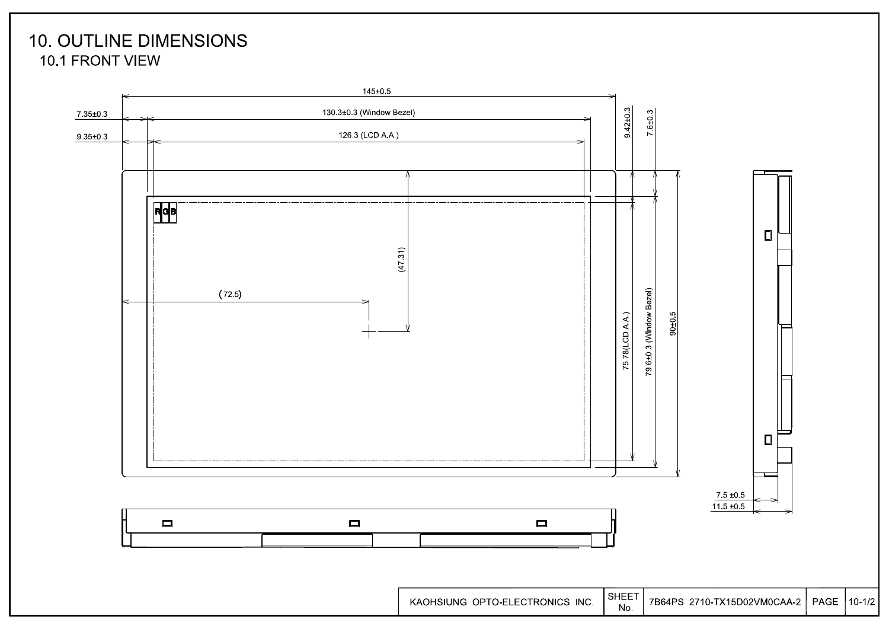### **10. OUTLINE DIMENSIONS** 10.1 FRONT VIEW

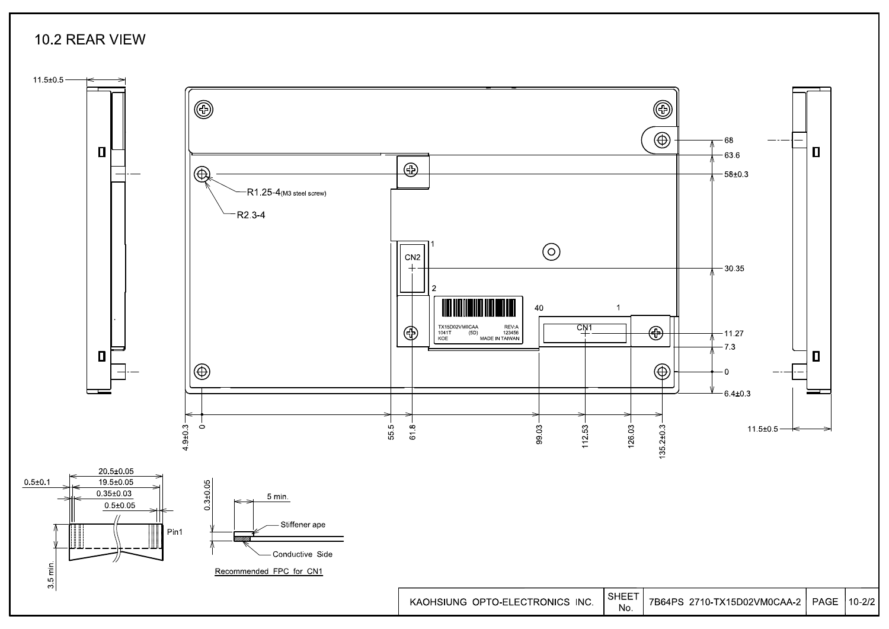### 10.2 REAR VIEW

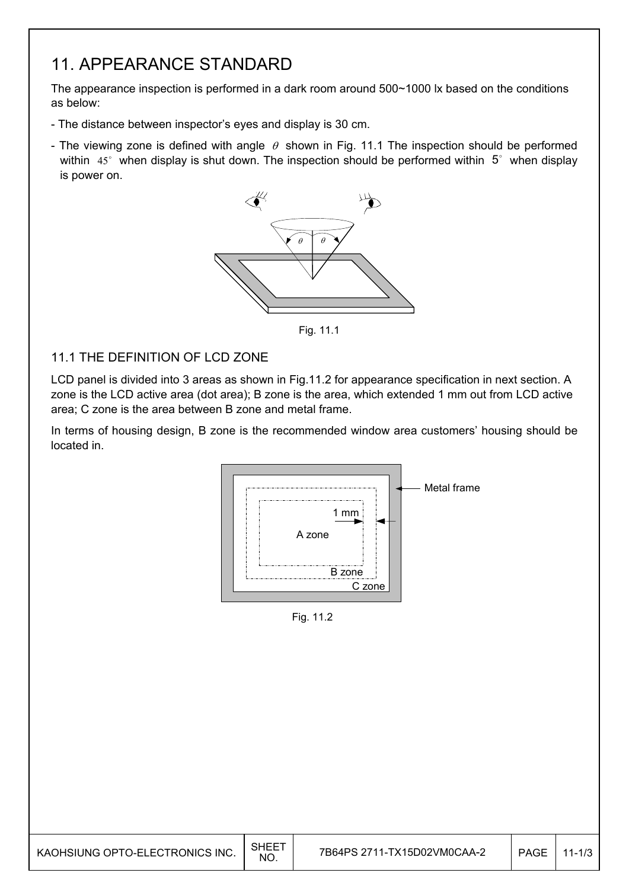### 11. APPEARANCE STANDARD

The appearance inspection is performed in a dark room around 500~1000 lx based on the conditions as below:

- The distance between inspector's eyes and display is 30 cm.
- The viewing zone is defined with angle  $\theta$  shown in Fig. 11.1 The inspection should be performed within  $45^\circ$  when display is shut down. The inspection should be performed within  $5^\circ$  when display is power on.



Fig. 11.1

#### 11.1 THE DEFINITION OF LCD ZONE

LCD panel is divided into 3 areas as shown in Fig.11.2 for appearance specification in next section. A zone is the LCD active area (dot area); B zone is the area, which extended 1 mm out from LCD active area; C zone is the area between B zone and metal frame.

In terms of housing design, B zone is the recommended window area customers' housing should be located in.



Fig. 11.2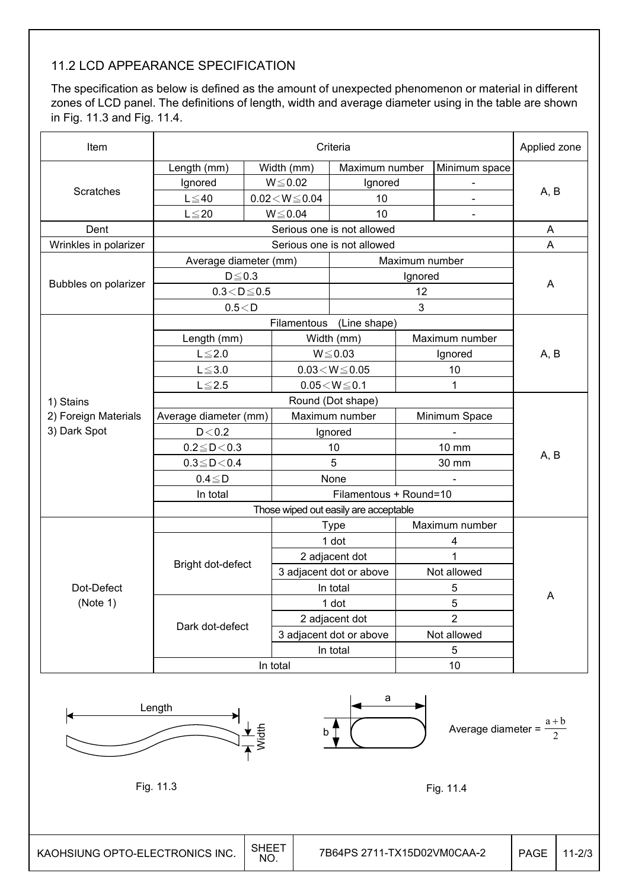### 11.2 LCD APPEARANCE SPECIFICATION

The specification as below is defined as the amount of unexpected phenomenon or material in different zones of LCD panel. The definitions of length, width and average diameter using in the table are shown in Fig. 11.3 and Fig. 11.4.

| Item                            |                        | Criteria             |                            |                                       |                |                                    |             |                           |
|---------------------------------|------------------------|----------------------|----------------------------|---------------------------------------|----------------|------------------------------------|-------------|---------------------------|
|                                 | Length (mm)            |                      | Width (mm)                 | Maximum number                        |                | Minimum space                      |             |                           |
|                                 | Ignored                |                      | $W \le 0.02$               | Ignored                               |                | $\blacksquare$                     |             |                           |
| <b>Scratches</b>                | $L \leq 40$            |                      | $0.02\!<\!W\!\leq\!0.04$   | 10                                    |                |                                    | A, B        |                           |
|                                 | $L \leq 20$            |                      | $W \le 0.04$               | 10                                    |                |                                    |             |                           |
| Dent                            |                        |                      |                            | Serious one is not allowed            |                |                                    | A           |                           |
| Wrinkles in polarizer           |                        |                      | Serious one is not allowed |                                       |                |                                    |             | $\boldsymbol{\mathsf{A}}$ |
|                                 | Average diameter (mm)  |                      |                            |                                       | Maximum number |                                    |             |                           |
|                                 | $D \le 0.3$            |                      |                            |                                       | Ignored        |                                    |             |                           |
| Bubbles on polarizer            | $0.3\!<\!D\!\leq\!0.5$ |                      |                            |                                       | 12             |                                    | A           |                           |
|                                 | 0.5 < D                |                      |                            |                                       | 3              |                                    |             |                           |
|                                 |                        |                      | Filamentous                | (Line shape)                          |                |                                    |             |                           |
|                                 | Length (mm)            |                      |                            | Width (mm)                            |                | Maximum number                     |             |                           |
|                                 | $L \leq 2.0$           |                      |                            | $W \le 0.03$                          |                | Ignored                            | A, B        |                           |
|                                 | $L \leq 3.0$           |                      |                            | $0.03 \le W \le 0.05$                 |                | 10                                 |             |                           |
|                                 | $L \le 2.5$            |                      |                            | $0.05\!<\!W\!\leq\!0.1$               |                | 1                                  |             |                           |
| 1) Stains                       |                        |                      |                            | Round (Dot shape)                     |                |                                    |             |                           |
| 2) Foreign Materials            | Average diameter (mm)  |                      |                            | Maximum number                        |                | Minimum Space                      |             |                           |
| 3) Dark Spot                    | $D<0.2$                |                      |                            | Ignored                               |                |                                    |             |                           |
|                                 | $0.2 \leq D < 0.3$     |                      |                            | 10                                    |                | 10 mm                              | A, B        |                           |
|                                 | $0.3 \leq D < 0.4$     |                      |                            | 5                                     |                | 30 mm                              |             |                           |
|                                 | $0.4 \leq D$           |                      |                            | None                                  |                |                                    |             |                           |
|                                 | In total               |                      |                            | Filamentous + Round=10                |                |                                    |             |                           |
|                                 |                        |                      |                            | Those wiped out easily are acceptable |                |                                    |             |                           |
|                                 |                        |                      |                            | Type                                  |                | Maximum number                     |             |                           |
|                                 |                        |                      | 1 dot                      |                                       | 4              |                                    |             |                           |
|                                 |                        |                      | 2 adjacent dot             |                                       | 1              |                                    |             |                           |
|                                 | Bright dot-defect      |                      |                            | 3 adjacent dot or above               |                | Not allowed                        |             |                           |
| Dot-Defect                      |                        |                      |                            | In total                              |                | 5                                  |             |                           |
| (Note 1)                        |                        |                      |                            | 1 dot                                 |                | 5                                  | A           |                           |
|                                 |                        |                      |                            | 2 adjacent dot                        |                | $\overline{2}$                     |             |                           |
|                                 | Dark dot-defect        |                      |                            | 3 adjacent dot or above               |                | Not allowed                        |             |                           |
|                                 |                        |                      |                            | In total                              |                | 5                                  |             |                           |
|                                 |                        | In total             |                            |                                       |                | 10                                 |             |                           |
|                                 | Length                 | $\frac{1}{\sqrt{2}}$ |                            | а<br>$\mathsf{b}$                     |                | Average diameter = $\frac{a+b}{2}$ |             |                           |
|                                 | Fig. 11.3              |                      |                            |                                       |                | Fig. 11.4                          |             |                           |
| KAOHSIUNG OPTO-ELECTRONICS INC. |                        | <b>SHEET</b><br>NO.  |                            | 7B64PS 2711-TX15D02VM0CAA-2           |                |                                    | <b>PAGE</b> | $11 - 2/3$                |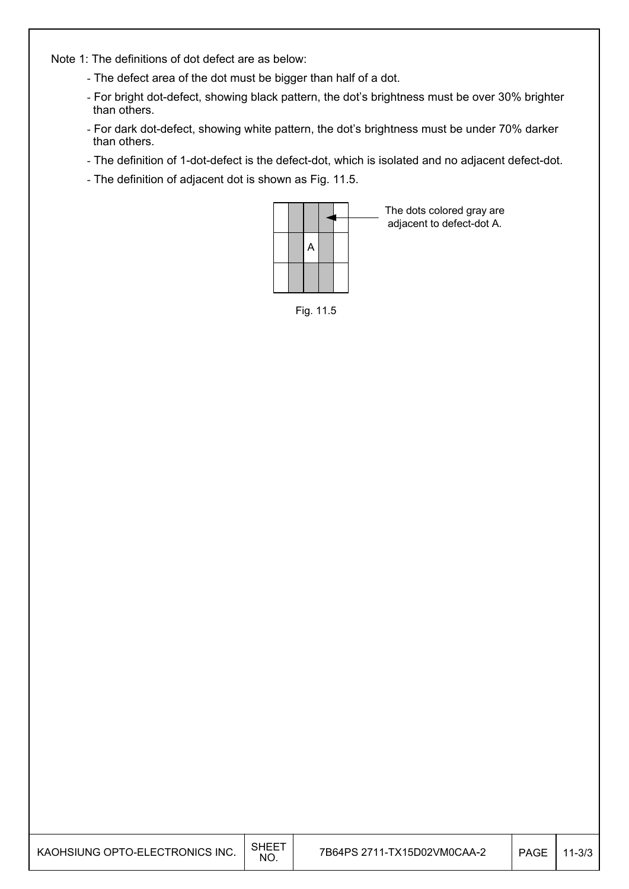Note 1: The definitions of dot defect are as below:

- The defect area of the dot must be bigger than half of a dot.
- For bright dot-defect, showing black pattern, the dot's brightness must be over 30% brighter than others.
- For dark dot-defect, showing white pattern, the dot's brightness must be under 70% darker than others.
- The definition of 1-dot-defect is the defect-dot, which is isolated and no adjacent defect-dot.
- The definition of adjacent dot is shown as Fig. 11.5.



The dots colored gray are adjacent to defect-dot A.

| ֿ חו | 11  |
|------|-----|
| ۲    | . ה |

| KAOHSIUNG OPTO-ELECTRONICS INC. | <b>SHEET</b><br>NO. | 7B64PS 2711-TX15D02VM0CAA-2 | <b>PAGE</b> | $11 - 3/3$ |
|---------------------------------|---------------------|-----------------------------|-------------|------------|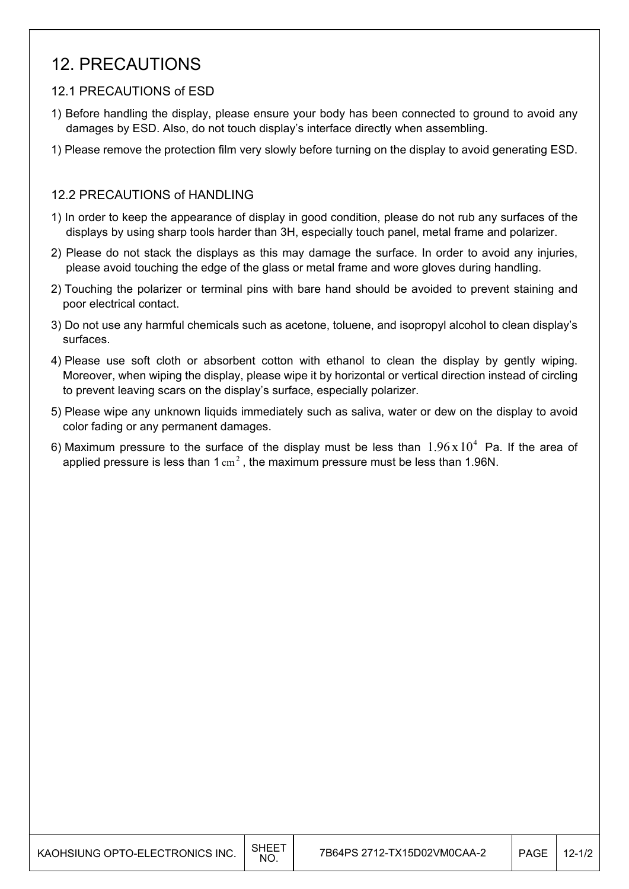### 12. PRECAUTIONS

#### 12.1 PRECAUTIONS of ESD

- 1) Before handling the display, please ensure your body has been connected to ground to avoid any damages by ESD. Also, do not touch display's interface directly when assembling.
- 1) Please remove the protection film very slowly before turning on the display to avoid generating ESD.

#### 12.2 PRECAUTIONS of HANDLING

- 1) In order to keep the appearance of display in good condition, please do not rub any surfaces of the displays by using sharp tools harder than 3H, especially touch panel, metal frame and polarizer.
- 2) Please do not stack the displays as this may damage the surface. In order to avoid any injuries, please avoid touching the edge of the glass or metal frame and wore gloves during handling.
- 2) Touching the polarizer or terminal pins with bare hand should be avoided to prevent staining and poor electrical contact.
- 3) Do not use any harmful chemicals such as acetone, toluene, and isopropyl alcohol to clean display's surfaces.
- 4) Please use soft cloth or absorbent cotton with ethanol to clean the display by gently wiping. Moreover, when wiping the display, please wipe it by horizontal or vertical direction instead of circling to prevent leaving scars on the display's surface, especially polarizer.
- 5) Please wipe any unknown liquids immediately such as saliva, water or dew on the display to avoid color fading or any permanent damages.
- 6) Maximum pressure to the surface of the display must be less than  $1.96 \times 10^4$  Pa. If the area of applied pressure is less than  $1 \text{ cm}^2$ , the maximum pressure must be less than 1.96N.

| KAOHSIUNG OPTO-ELECTRONICS INC. | SHEE<br><b>NO</b> | 7B64PS 2712-TX15D02VM0CAA-2 | <b>PAGE</b> | $12 - 1/2$ |
|---------------------------------|-------------------|-----------------------------|-------------|------------|
|---------------------------------|-------------------|-----------------------------|-------------|------------|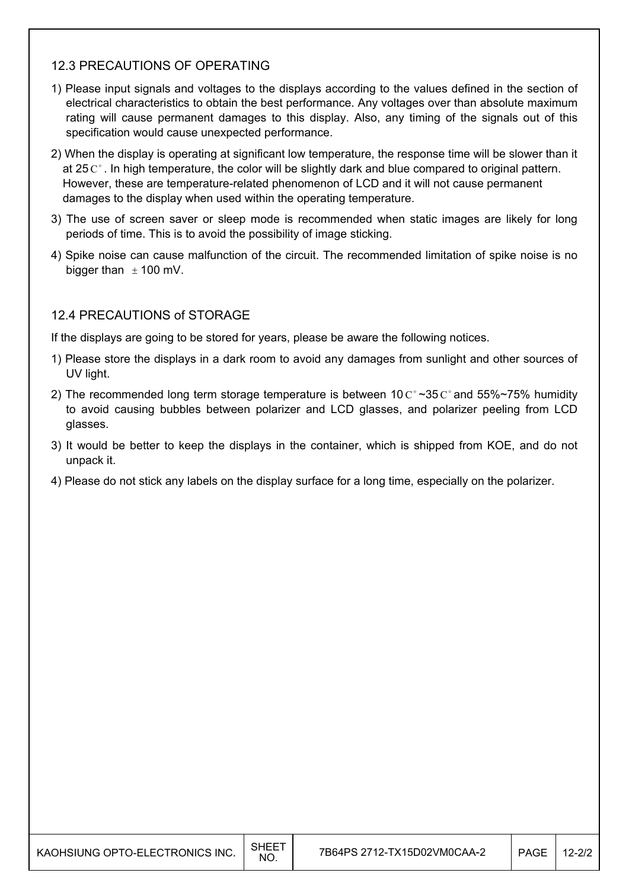#### 12.3 PRECAUTIONS OF OPERATING

- 1) Please input signals and voltages to the displays according to the values defined in the section of electrical characteristics to obtain the best performance. Any voltages over than absolute maximum rating will cause permanent damages to this display. Also, any timing of the signals out of this specification would cause unexpected performance.
- 2) When the display is operating at significant low temperature, the response time will be slower than it at 25  $\mathrm{C}^{\circ}$ . In high temperature, the color will be slightly dark and blue compared to original pattern. However, these are temperature-related phenomenon of LCD and it will not cause permanent damages to the display when used within the operating temperature.
- 3) The use of screen saver or sleep mode is recommended when static images are likely for long periods of time. This is to avoid the possibility of image sticking.
- 4) Spike noise can cause malfunction of the circuit. The recommended limitation of spike noise is no bigger than  $\pm$  100 mV.

#### 12.4 PRECAUTIONS of STORAGE

If the displays are going to be stored for years, please be aware the following notices.

- 1) Please store the displays in a dark room to avoid any damages from sunlight and other sources of UV light.
- 2) The recommended long term storage temperature is between 10  $C^{\circ}$  ~35  $C^{\circ}$  and 55%~75% humidity to avoid causing bubbles between polarizer and LCD glasses, and polarizer peeling from LCD glasses.
- 3) It would be better to keep the displays in the container, which is shipped from KOE, and do not unpack it.
- 4) Please do not stick any labels on the display surface for a long time, especially on the polarizer.

| KAOHSIUNG OPTO-ELECTRONICS INC. | SHEET<br>NO. | 7B64PS 2712-TX15D02VM0CAA-2 | <b>PAGE</b> | $12 - 2/2$ |
|---------------------------------|--------------|-----------------------------|-------------|------------|
|---------------------------------|--------------|-----------------------------|-------------|------------|